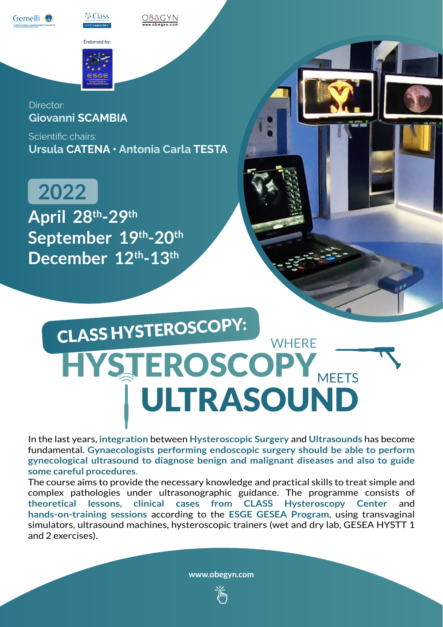



Endorsed by:

db&gyn



Scientific chairs: **Ursula CATENA • Antonia Carla TESTA**

**April 28th-29th September 19th-20th December 12th-13th 2022**

# WHERE [HYSTEROSCOPY](https://obegyn.com/gest/congresso.php?id_congresso=189&lang=ENG) ULTRASOUND CLASS HYSTEROSCOPY:

In the last years, **integration** between **Hysteroscopic Surgery** and **Ultrasounds** has become fundamental. **Gynaecologists performing endoscopic surgery should be able to perform gynecological ultrasound to diagnose benign and malignant diseases and also to guide some careful procedures**.

The course aims to provide the necessary knowledge and practical skills to treat simple and complex pathologies under ultrasonographic guidance. The programme consists of **theoretical lessons, clinical cases from CLASS Hysteroscopy Center** and **hands-on-training sessions** according to the **ESGE GESEA Program**, using transvaginal simulators, ultrasound machines, hysteroscopic trainers (wet and dry lab, GESEA HYSTT 1 and 2 exercises).

**[www.obegyn.com](https://obegyn.com/gest/congresso.php?id_congresso=189&lang=ENG)**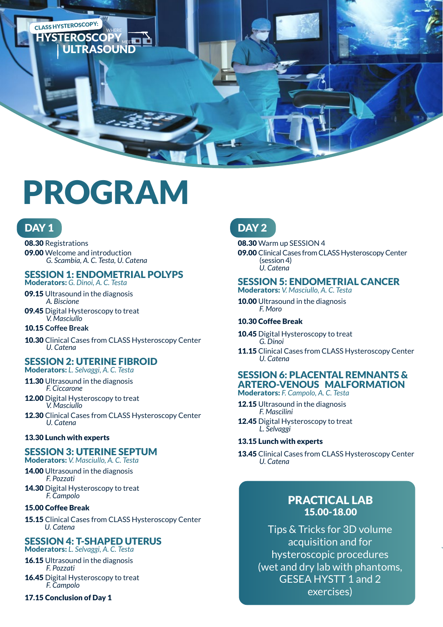

# PROGRAM

# DAY<sub>1</sub>

08.30 Registrations 09.00 Welcome and introduction  *G. Scambia, A. C. Testa, U. Catena*

# SESSION 1: ENDOMETRIAL POLYPS

Moderators: *G. Dinoi, A. C. Testa*

- 09.15 Ultrasound in the diagnosis  *A. Biscione*
- 09.45 Digital Hysteroscopy to treat  *V. Masciullo*

### 10.15 **Coffee Break**

10.30 Clinical Cases from CLASS Hysteroscopy Center  *U. Catena*

# SESSION 2: UTERINE FIBROID

Moderators: *L. Selvaggi, A. C. Testa* 

- 11.30 Ultrasound in the diagnosis  *F. Ciccarone*
- 12.00 Digital Hysteroscopy to treat  *V. Masciullo*

12.30 Clinical Cases from CLASS Hysteroscopy Center  *U. Catena*

### 13.30 Lunch with experts

### SESSION 3: UTERINE SEPTUM

Moderators: *V. Masciullo, A. C. Testa* 

- 14.00 Ultrasound in the diagnosis *F. Pozzati*
- 14.30 Digital Hysteroscopy to treat  *F. Campolo*

### 15.00 Coffee Break

15.15 Clinical Cases from CLASS Hysteroscopy Center  *U. Catena*

# SESSION 4: T-SHAPED UTERUS

Moderators: *L. Selvaggi, A. C. Testa*

- 16.15 Ultrasound in the diagnosis  *F. Pozzati* 16.45 Digital Hysteroscopy to treat  *F. Campolo*
- 17.15 Conclusion of Day 1

# DAY<sub>2</sub>

08.30 Warm up SESSION 4 09.00 Clinical Cases from CLASS Hysteroscopy Center (session 4)  *U. Catena*

# SESSION 5: ENDOMETRIAL CANCER

Moderators: *V. Masciullo, A. C. Testa*

10.00 Ultrasound in the diagnosis  *F. Moro*

### 10.30 Coffee Break

10.45 Digital Hysteroscopy to treat  *G. Dinoi*

11.15 Clinical Cases from CLASS Hysteroscopy Center  *U. Catena*

#### SESSION 6: PLACENTAL REMNANTS & ARTERO-VENOUS MALFORMATION Moderators: *F. Campolo, A. C. Testa*

12.15 Ultrasound in the diagnosis  *F. Mascilini* 

12.45 Digital Hysteroscopy to treat  *L. Selvaggi*

### 13.15 Lunch with experts

13.45 Clinical Cases from CLASS Hysteroscopy Center  *U. Catena*

# PRACTICAL LAB 15.00-18.00

Tips & Tricks for 3D volume acquisition and for hysteroscopic procedures (wet and dry lab with phantoms, GESEA HYSTT 1 and 2 exercises)